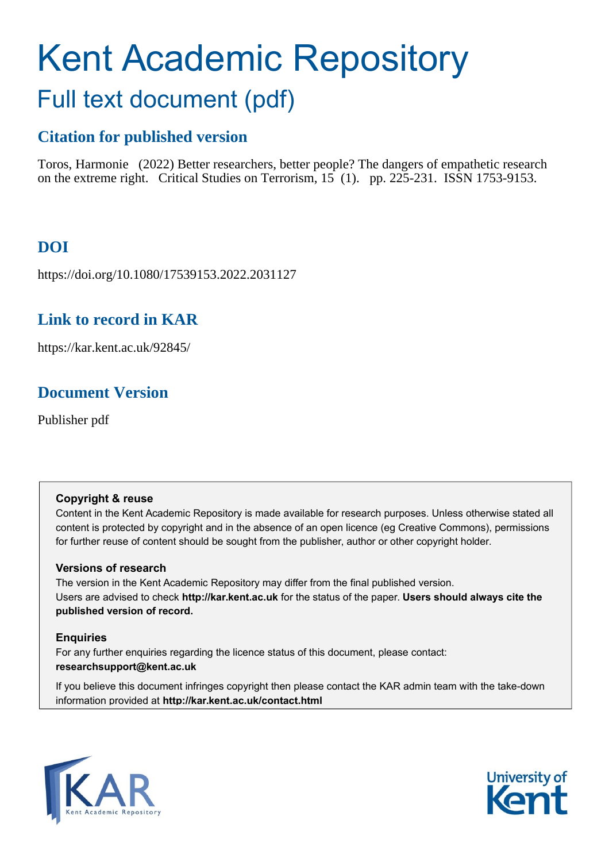# Kent Academic Repository Full text document (pdf)

# **Citation for published version**

Toros, Harmonie (2022) Better researchers, better people? The dangers of empathetic research on the extreme right. Critical Studies on Terrorism, 15 (1). pp. 225-231. ISSN 1753-9153.

# **DOI**

https://doi.org/10.1080/17539153.2022.2031127

# **Link to record in KAR**

https://kar.kent.ac.uk/92845/

# **Document Version**

Publisher pdf

### **Copyright & reuse**

Content in the Kent Academic Repository is made available for research purposes. Unless otherwise stated all content is protected by copyright and in the absence of an open licence (eg Creative Commons), permissions for further reuse of content should be sought from the publisher, author or other copyright holder.

### **Versions of research**

The version in the Kent Academic Repository may differ from the final published version. Users are advised to check **http://kar.kent.ac.uk** for the status of the paper. **Users should always cite the published version of record.**

### **Enquiries**

For any further enquiries regarding the licence status of this document, please contact: **researchsupport@kent.ac.uk**

If you believe this document infringes copyright then please contact the KAR admin team with the take-down information provided at **http://kar.kent.ac.uk/contact.html**



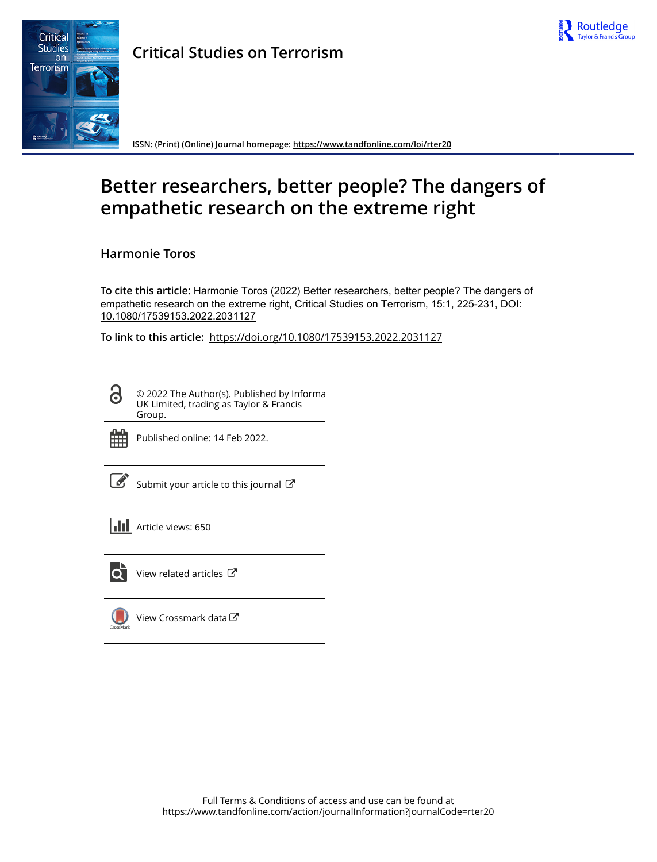



**Critical Studies on Terrorism**

**ISSN: (Print) (Online) Journal homepage:<https://www.tandfonline.com/loi/rter20>**

# **Better researchers, better people? The dangers of empathetic research on the extreme right**

**Harmonie Toros**

**To cite this article:** Harmonie Toros (2022) Better researchers, better people? The dangers of empathetic research on the extreme right, Critical Studies on Terrorism, 15:1, 225-231, DOI: [10.1080/17539153.2022.2031127](https://www.tandfonline.com/action/showCitFormats?doi=10.1080/17539153.2022.2031127)

**To link to this article:** <https://doi.org/10.1080/17539153.2022.2031127>

© 2022 The Author(s). Published by Informa UK Limited, trading as Taylor & Francis Group.



ര

Published online: 14 Feb 2022.

[Submit your article to this journal](https://www.tandfonline.com/action/authorSubmission?journalCode=rter20&show=instructions)  $\mathbb{Z}$ 

**III** Article views: 650



 $\overrightarrow{Q}$  [View related articles](https://www.tandfonline.com/doi/mlt/10.1080/17539153.2022.2031127)  $\overrightarrow{C}$ 

[View Crossmark data](http://crossmark.crossref.org/dialog/?doi=10.1080/17539153.2022.2031127&domain=pdf&date_stamp=2022-02-14)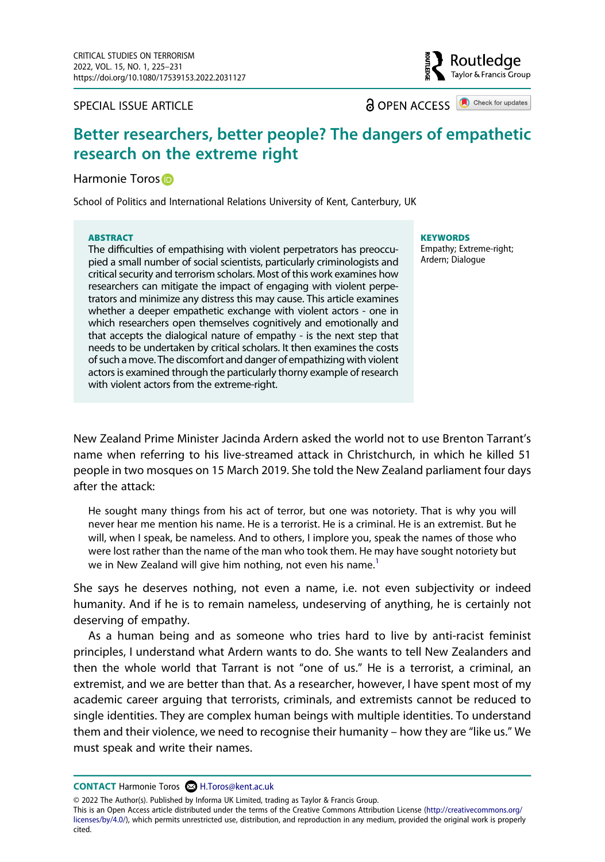#### SPECIAL ISSUE ARTICLE

**a** OPEN ACCESS **a** Check for updates

Routledae Taylor & Francis Group

### **Better researchers, better people? The dangers of empathetic research on the extreme right**

#### Harmonie Toros<sup>®</sup>

School of Politics and International Relations University of Kent, Canterbury, UK

#### **ABSTRACT**

The difficulties of empathising with violent perpetrators has preoccupied a small number of social scientists, particularly criminologists and critical security and terrorism scholars. Most of this work examines how researchers can mitigate the impact of engaging with violent perpetrators and minimize any distress this may cause. This article examines whether a deeper empathetic exchange with violent actors - one in which researchers open themselves cognitively and emotionally and that accepts the dialogical nature of empathy - is the next step that needs to be undertaken by critical scholars. It then examines the costs of such a move. The discomfort and danger of empathizing with violent actors is examined through the particularly thorny example of research with violent actors from the extreme-right.

**KEYWORDS** 

Empathy; Extreme-right; Ardern; Dialogue

New Zealand Prime Minister Jacinda Ardern asked the world not to use Brenton Tarrant's name when referring to his live-streamed attack in Christchurch, in which he killed 51 people in two mosques on 15 March 2019. She told the New Zealand parliament four days after the attack:

He sought many things from his act of terror, but one was notoriety. That is why you will never hear me mention his name. He is a terrorist. He is a criminal. He is an extremist. But he will, when I speak, be nameless. And to others, I implore you, speak the names of those who were lost rather than the name of the man who took them. He may have sought notoriety but we in New Zealand will give him nothing, not even his name.<sup>[1](#page--1-0)</sup>

She says he deserves nothing, not even a name, i.e. not even subjectivity or indeed humanity. And if he is to remain nameless, undeserving of anything, he is certainly not deserving of empathy.

As a human being and as someone who tries hard to live by anti-racist feminist principles, I understand what Ardern wants to do. She wants to tell New Zealanders and then the whole world that Tarrant is not "one of us." He is a terrorist, a criminal, an extremist, and we are better than that. As a researcher, however, I have spent most of my academic career arguing that terrorists, criminals, and extremists cannot be reduced to single identities. They are complex human beings with multiple identities. To understand them and their violence, we need to recognise their humanity – how they are "like us." We must speak and write their names.

**CONTACT** Harmonie Toros & H.Toros@kent.ac.uk

© 2022 The Author(s). Published by Informa UK Limited, trading as Taylor & Francis Group.

This is an Open Access article distributed under the terms of the Creative Commons Attribution License (http://creativecommons.org/ licenses/by/4.0/), which permits unrestricted use, distribution, and reproduction in any medium, provided the original work is properly cited.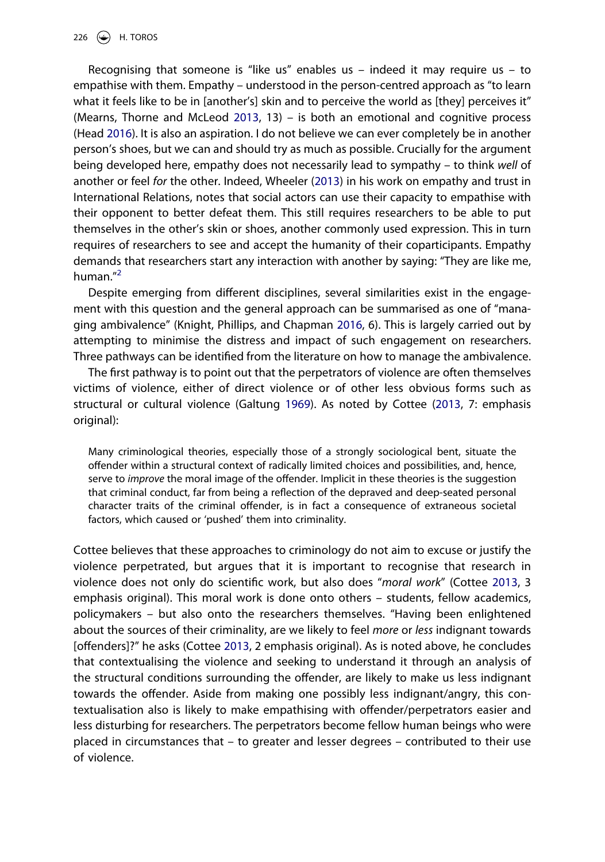Recognising that someone is "like us" enables us  $-$  indeed it may require us  $-$  to empathise with them. Empathy – understood in the person-centred approach as "to learn what it feels like to be in [another's] skin and to perceive the world as [they] perceives it" (Mearns, Thorne and McLeod [2013](#page--1-1), 13) – is both an emotional and cognitive process (Head [2016\)](#page--1-2). It is also an aspiration. I do not believe we can ever completely be in another person's shoes, but we can and should try as much as possible. Crucially for the argument being developed here, empathy does not necessarily lead to sympathy – to think *well* of another or feel *for* the other. Indeed, Wheeler ([2013](#page--1-3)) in his work on empathy and trust in International Relations, notes that social actors can use their capacity to empathise with their opponent to better defeat them. This still requires researchers to be able to put themselves in the other's skin or shoes, another commonly used expression. This in turn requires of researchers to see and accept the humanity of their coparticipants. Empathy demands that researchers start any interaction with another by saying: "They are like me, human.["2](#page--1-4)

Despite emerging from different disciplines, several similarities exist in the engagement with this question and the general approach can be summarised as one of "managing ambivalence" (Knight, Phillips, and Chapman [2016](#page--1-5), 6). This is largely carried out by attempting to minimise the distress and impact of such engagement on researchers. Three pathways can be identified from the literature on how to manage the ambivalence.

The first pathway is to point out that the perpetrators of violence are often themselves victims of violence, either of direct violence or of other less obvious forms such as structural or cultural violence (Galtung [1969](#page--1-6)). As noted by Cottee [\(2013,](#page--1-7) 7: emphasis original):

Many criminological theories, especially those of a strongly sociological bent, situate the offender within a structural context of radically limited choices and possibilities, and, hence, serve to *improve* the moral image of the offender. Implicit in these theories is the suggestion that criminal conduct, far from being a reflection of the depraved and deep-seated personal character traits of the criminal offender, is in fact a consequence of extraneous societal factors, which caused or 'pushed' them into criminality.

Cottee believes that these approaches to criminology do not aim to excuse or justify the violence perpetrated, but argues that it is important to recognise that research in violence does not only do scientific work, but also does "*moral work*" (Cottee [2013](#page--1-7), 3 emphasis original). This moral work is done onto others – students, fellow academics, policymakers – but also onto the researchers themselves. "Having been enlightened about the sources of their criminality, are we likely to feel *more* or *less* indignant towards [offenders]?" he asks (Cottee [2013](#page--1-7), 2 emphasis original). As is noted above, he concludes that contextualising the violence and seeking to understand it through an analysis of the structural conditions surrounding the offender, are likely to make us less indignant towards the offender. Aside from making one possibly less indignant/angry, this contextualisation also is likely to make empathising with offender/perpetrators easier and less disturbing for researchers. The perpetrators become fellow human beings who were placed in circumstances that – to greater and lesser degrees – contributed to their use of violence.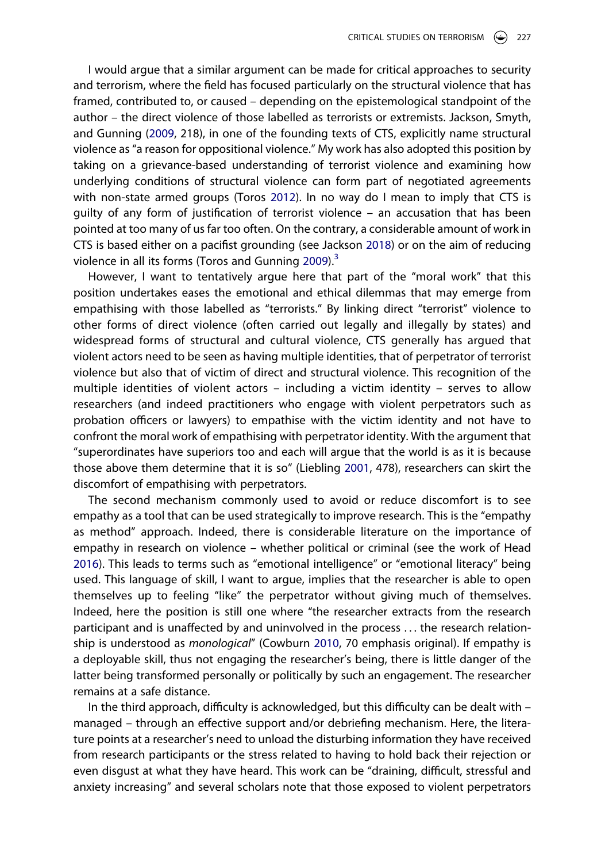I would argue that a similar argument can be made for critical approaches to security and terrorism, where the field has focused particularly on the structural violence that has framed, contributed to, or caused – depending on the epistemological standpoint of the author – the direct violence of those labelled as terrorists or extremists. Jackson, Smyth, and Gunning ([2009](#page--1-8), 218), in one of the founding texts of CTS, explicitly name structural violence as "a reason for oppositional violence." My work has also adopted this position by taking on a grievance-based understanding of terrorist violence and examining how underlying conditions of structural violence can form part of negotiated agreements with non-state armed groups (Toros [2012](#page--1-9)). In no way do I mean to imply that CTS is guilty of any form of justification of terrorist violence – an accusation that has been pointed at too many of us far too often. On the contrary, a considerable amount of work in CTS is based either on a pacifist grounding (see Jackson [2018](#page--1-10)) or on the aim of reducing violence in all its forms (Toros and Gunning  $2009$ ).<sup>3</sup>

However, I want to tentatively argue here that part of the "moral work" that this position undertakes eases the emotional and ethical dilemmas that may emerge from empathising with those labelled as "terrorists." By linking direct "terrorist" violence to other forms of direct violence (often carried out legally and illegally by states) and widespread forms of structural and cultural violence, CTS generally has argued that violent actors need to be seen as having multiple identities, that of perpetrator of terrorist violence but also that of victim of direct and structural violence. This recognition of the multiple identities of violent actors – including a victim identity – serves to allow researchers (and indeed practitioners who engage with violent perpetrators such as probation officers or lawyers) to empathise with the victim identity and not have to confront the moral work of empathising with perpetrator identity. With the argument that "superordinates have superiors too and each will argue that the world is as it is because those above them determine that it is so" (Liebling [2001](#page--1-13), 478), researchers can skirt the discomfort of empathising with perpetrators.

The second mechanism commonly used to avoid or reduce discomfort is to see empathy as a tool that can be used strategically to improve research. This is the "empathy as method" approach. Indeed, there is considerable literature on the importance of empathy in research on violence – whether political or criminal (see the work of Head [2016\)](#page--1-2). This leads to terms such as "emotional intelligence" or "emotional literacy" being used. This language of skill, I want to argue, implies that the researcher is able to open themselves up to feeling "like" the perpetrator without giving much of themselves. Indeed, here the position is still one where "the researcher extracts from the research participant and is unaffected by and uninvolved in the process . . . the research relationship is understood as *monological*" (Cowburn [2010,](#page--1-14) 70 emphasis original). If empathy is a deployable skill, thus not engaging the researcher's being, there is little danger of the latter being transformed personally or politically by such an engagement. The researcher remains at a safe distance.

In the third approach, difficulty is acknowledged, but this difficulty can be dealt with – managed – through an effective support and/or debriefing mechanism. Here, the literature points at a researcher's need to unload the disturbing information they have received from research participants or the stress related to having to hold back their rejection or even disgust at what they have heard. This work can be "draining, difficult, stressful and anxiety increasing" and several scholars note that those exposed to violent perpetrators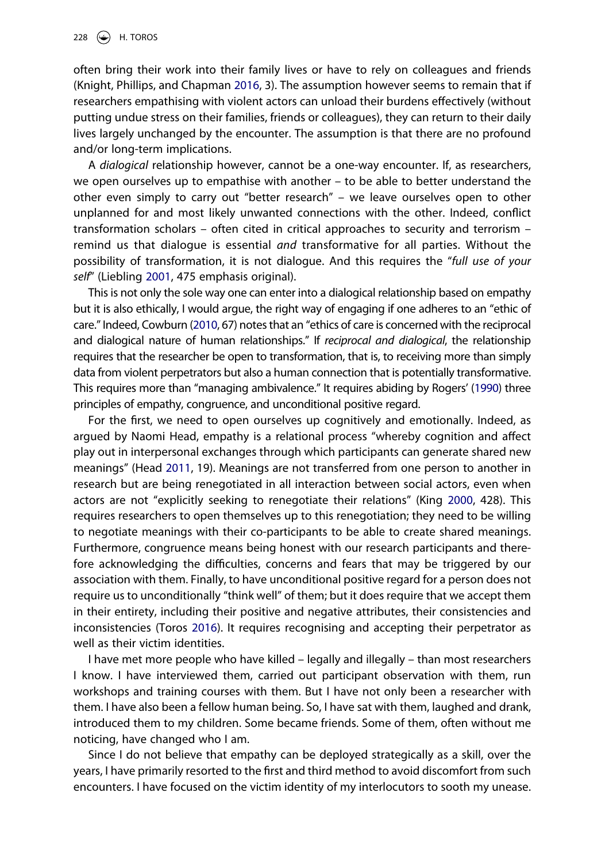often bring their work into their family lives or have to rely on colleagues and friends (Knight, Phillips, and Chapman [2016,](#page--1-5) 3). The assumption however seems to remain that if researchers empathising with violent actors can unload their burdens effectively (without putting undue stress on their families, friends or colleagues), they can return to their daily lives largely unchanged by the encounter. The assumption is that there are no profound and/or long-term implications.

A *dialogical* relationship however, cannot be a one-way encounter. If, as researchers, we open ourselves up to empathise with another – to be able to better understand the other even simply to carry out "better research" – we leave ourselves open to other unplanned for and most likely unwanted connections with the other. Indeed, conflict transformation scholars – often cited in critical approaches to security and terrorism – remind us that dialogue is essential *and* transformative for all parties. Without the possibility of transformation, it is not dialogue. And this requires the "*full use of your self*" (Liebling [2001](#page--1-13), 475 emphasis original).

This is not only the sole way one can enter into a dialogical relationship based on empathy but it is also ethically, I would argue, the right way of engaging if one adheres to an "ethic of care." Indeed, Cowburn [\(2010](#page--1-14), 67) notes that an "ethics of care is concerned with the reciprocal and dialogical nature of human relationships." If *reciprocal and dialogical*, the relationship requires that the researcher be open to transformation, that is, to receiving more than simply data from violent perpetrators but also a human connection that is potentially transformative. This requires more than "managing ambivalence." It requires abiding by Rogers' [\(1990\)](#page--1-15) three principles of empathy, congruence, and unconditional positive regard.

For the first, we need to open ourselves up cognitively and emotionally. Indeed, as argued by Naomi Head, empathy is a relational process "whereby cognition and affect play out in interpersonal exchanges through which participants can generate shared new meanings" (Head [2011,](#page--1-16) 19). Meanings are not transferred from one person to another in research but are being renegotiated in all interaction between social actors, even when actors are not "explicitly seeking to renegotiate their relations" (King [2000,](#page--1-17) 428). This requires researchers to open themselves up to this renegotiation; they need to be willing to negotiate meanings with their co-participants to be able to create shared meanings. Furthermore, congruence means being honest with our research participants and therefore acknowledging the difficulties, concerns and fears that may be triggered by our association with them. Finally, to have unconditional positive regard for a person does not require us to unconditionally "think well" of them; but it does require that we accept them in their entirety, including their positive and negative attributes, their consistencies and inconsistencies (Toros [2016](#page--1-18)). It requires recognising and accepting their perpetrator as well as their victim identities.

I have met more people who have killed – legally and illegally – than most researchers I know. I have interviewed them, carried out participant observation with them, run workshops and training courses with them. But I have not only been a researcher with them. I have also been a fellow human being. So, I have sat with them, laughed and drank, introduced them to my children. Some became friends. Some of them, often without me noticing, have changed who I am.

Since I do not believe that empathy can be deployed strategically as a skill, over the years, I have primarily resorted to the first and third method to avoid discomfort from such encounters. I have focused on the victim identity of my interlocutors to sooth my unease.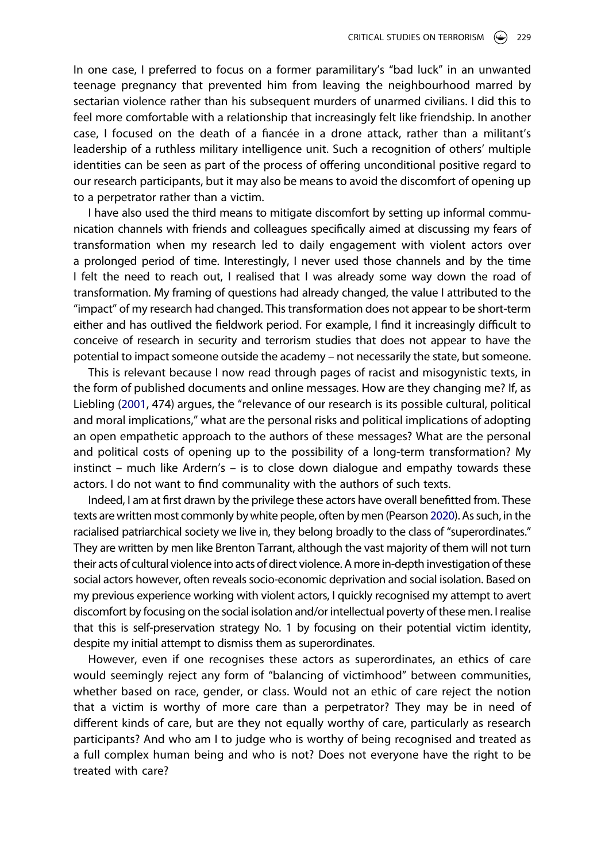In one case, I preferred to focus on a former paramilitary's "bad luck" in an unwanted teenage pregnancy that prevented him from leaving the neighbourhood marred by sectarian violence rather than his subsequent murders of unarmed civilians. I did this to feel more comfortable with a relationship that increasingly felt like friendship. In another case, I focused on the death of a fiancée in a drone attack, rather than a militant's leadership of a ruthless military intelligence unit. Such a recognition of others' multiple identities can be seen as part of the process of offering unconditional positive regard to our research participants, but it may also be means to avoid the discomfort of opening up to a perpetrator rather than a victim.

I have also used the third means to mitigate discomfort by setting up informal communication channels with friends and colleagues specifically aimed at discussing my fears of transformation when my research led to daily engagement with violent actors over a prolonged period of time. Interestingly, I never used those channels and by the time I felt the need to reach out, I realised that I was already some way down the road of transformation. My framing of questions had already changed, the value I attributed to the "impact" of my research had changed. This transformation does not appear to be short-term either and has outlived the fieldwork period. For example, I find it increasingly difficult to conceive of research in security and terrorism studies that does not appear to have the potential to impact someone outside the academy – not necessarily the state, but someone.

This is relevant because I now read through pages of racist and misogynistic texts, in the form of published documents and online messages. How are they changing me? If, as Liebling ([2001](#page--1-13), 474) argues, the "relevance of our research is its possible cultural, political and moral implications," what are the personal risks and political implications of adopting an open empathetic approach to the authors of these messages? What are the personal and political costs of opening up to the possibility of a long-term transformation? My instinct – much like Ardern's – is to close down dialogue and empathy towards these actors. I do not want to find communality with the authors of such texts.

Indeed, I am at first drawn by the privilege these actors have overall benefitted from. These texts are written most commonly by white people, often by men (Pearson [2020\)](#page--1-19). As such, in the racialised patriarchical society we live in, they belong broadly to the class of "superordinates." They are written by men like Brenton Tarrant, although the vast majority of them will not turn their acts of cultural violence into acts of direct violence. A more in-depth investigation of these social actors however, often reveals socio-economic deprivation and social isolation. Based on my previous experience working with violent actors, I quickly recognised my attempt to avert discomfort by focusing on the social isolation and/or intellectual poverty of these men. I realise that this is self-preservation strategy No. 1 by focusing on their potential victim identity, despite my initial attempt to dismiss them as superordinates.

However, even if one recognises these actors as superordinates, an ethics of care would seemingly reject any form of "balancing of victimhood" between communities, whether based on race, gender, or class. Would not an ethic of care reject the notion that a victim is worthy of more care than a perpetrator? They may be in need of different kinds of care, but are they not equally worthy of care, particularly as research participants? And who am I to judge who is worthy of being recognised and treated as a full complex human being and who is not? Does not everyone have the right to be treated with care?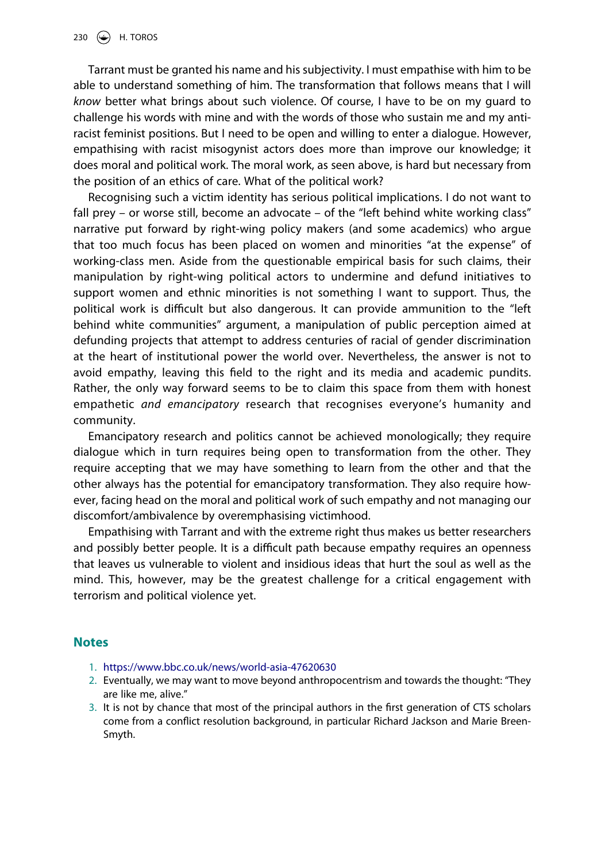Tarrant must be granted his name and his subjectivity. I must empathise with him to be able to understand something of him. The transformation that follows means that I will *know* better what brings about such violence. Of course, I have to be on my guard to challenge his words with mine and with the words of those who sustain me and my antiracist feminist positions. But I need to be open and willing to enter a dialogue. However, empathising with racist misogynist actors does more than improve our knowledge; it does moral and political work. The moral work, as seen above, is hard but necessary from the position of an ethics of care. What of the political work?

Recognising such a victim identity has serious political implications. I do not want to fall prey – or worse still, become an advocate – of the "left behind white working class" narrative put forward by right-wing policy makers (and some academics) who argue that too much focus has been placed on women and minorities "at the expense" of working-class men. Aside from the questionable empirical basis for such claims, their manipulation by right-wing political actors to undermine and defund initiatives to support women and ethnic minorities is not something I want to support. Thus, the political work is difficult but also dangerous. It can provide ammunition to the "left behind white communities" argument, a manipulation of public perception aimed at defunding projects that attempt to address centuries of racial of gender discrimination at the heart of institutional power the world over. Nevertheless, the answer is not to avoid empathy, leaving this field to the right and its media and academic pundits. Rather, the only way forward seems to be to claim this space from them with honest empathetic *and emancipatory* research that recognises everyone's humanity and community.

Emancipatory research and politics cannot be achieved monologically; they require dialogue which in turn requires being open to transformation from the other. They require accepting that we may have something to learn from the other and that the other always has the potential for emancipatory transformation. They also require however, facing head on the moral and political work of such empathy and not managing our discomfort/ambivalence by overemphasising victimhood.

Empathising with Tarrant and with the extreme right thus makes us better researchers and possibly better people. It is a difficult path because empathy requires an openness that leaves us vulnerable to violent and insidious ideas that hurt the soul as well as the mind. This, however, may be the greatest challenge for a critical engagement with terrorism and political violence yet.

#### **Notes**

- 1. <https://www.bbc.co.uk/news/world-asia-47620630>
- 2. Eventually, we may want to move beyond anthropocentrism and towards the thought: "They are like me, alive."
- 3. It is not by chance that most of the principal authors in the first generation of CTS scholars come from a conflict resolution background, in particular Richard Jackson and Marie Breen-Smyth.